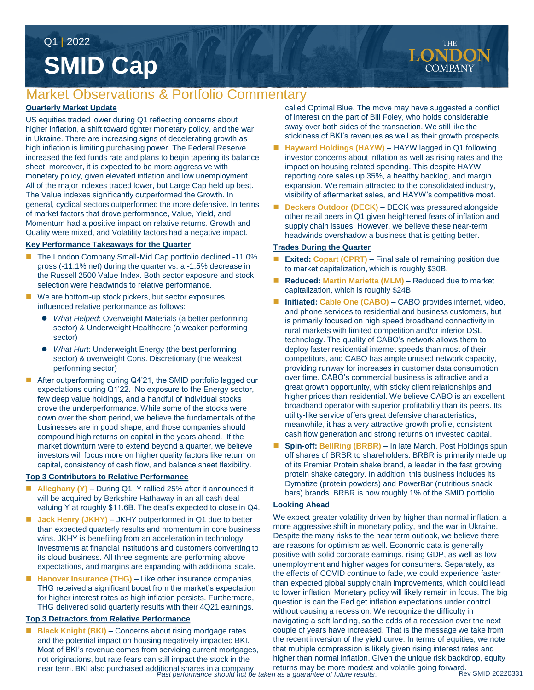# **SMID Cap** Q1 **|** 2022

## Market Observations & Portfolio Commentary

#### **Quarterly Market Update**

US equities traded lower during Q1 reflecting concerns about higher inflation, a shift toward tighter monetary policy, and the war in Ukraine. There are increasing signs of decelerating growth as high inflation is limiting purchasing power. The Federal Reserve increased the fed funds rate and plans to begin tapering its balance sheet; moreover, it is expected to be more aggressive with monetary policy, given elevated inflation and low unemployment. All of the major indexes traded lower, but Large Cap held up best. The Value indexes significantly outperformed the Growth. In general, cyclical sectors outperformed the more defensive. In terms of market factors that drove performance, Value, Yield, and Momentum had a positive impact on relative returns. Growth and Quality were mixed, and Volatility factors had a negative impact.

#### **Key Performance Takeaways for the Quarter**

- The London Company Small-Mid Cap portfolio declined -11.0% gross (-11.1% net) during the quarter vs. a -1.5% decrease in the Russell 2500 Value Index. Both sector exposure and stock selection were headwinds to relative performance.
- We are bottom-up stock pickers, but sector exposures influenced relative performance as follows:
	- *What Helped*: Overweight Materials (a better performing sector) & Underweight Healthcare (a weaker performing sector)
	- *What Hurt*: Underweight Energy (the best performing sector) & overweight Cons. Discretionary (the weakest performing sector)
- After outperforming during Q4'21, the SMID portfolio lagged our expectations during Q1'22. No exposure to the Energy sector, few deep value holdings, and a handful of individual stocks drove the underperformance. While some of the stocks were down over the short period, we believe the fundamentals of the businesses are in good shape, and those companies should compound high returns on capital in the years ahead. If the market downturn were to extend beyond a quarter, we believe investors will focus more on higher quality factors like return on capital, consistency of cash flow, and balance sheet flexibility.

#### **Top 3 Contributors to Relative Performance**

- Alleghany (Y) During Q1, Y rallied 25% after it announced it will be acquired by Berkshire Hathaway in an all cash deal valuing Y at roughly \$11.6B. The deal's expected to close in Q4.
- **Jack Henry (JKHY)**  JKHY outperformed in Q1 due to better than expected quarterly results and momentum in core business wins. JKHY is benefiting from an acceleration in technology investments at financial institutions and customers converting to its cloud business. All three segments are performing above expectations, and margins are expanding with additional scale.
- Hanover Insurance (THG) Like other insurance companies, THG received a significant boost from the market's expectation for higher interest rates as high inflation persists. Furthermore, THG delivered solid quarterly results with their 4Q21 earnings.

#### **Top 3 Detractors from Relative Performance**

*Past performance should not be taken as a guarantee of future results*. near term. BKI also purchased additional shares in a company ■ **Black Knight (BKI)** – Concerns about rising mortgage rates and the potential impact on housing negatively impacted BKI. Most of BKI's revenue comes from servicing current mortgages, not originations, but rate fears can still impact the stock in the

called Optimal Blue. The move may have suggested a conflict of interest on the part of Bill Foley, who holds considerable sway over both sides of the transaction. We still like the stickiness of BKI's revenues as well as their growth prospects.

- Hayward Holdings (HAYW) HAYW lagged in Q1 following investor concerns about inflation as well as rising rates and the impact on housing related spending. This despite HAYW reporting core sales up 35%, a healthy backlog, and margin expansion. We remain attracted to the consolidated industry, visibility of aftermarket sales, and HAYW's competitive moat.
- **Deckers Outdoor (DECK)**  DECK was pressured alongside other retail peers in Q1 given heightened fears of inflation and supply chain issues. However, we believe these near-term headwinds overshadow a business that is getting better.

#### **Trades During the Quarter**

- **Exited: Copart (CPRT)**  Final sale of remaining position due to market capitalization, which is roughly \$30B.
- **Reduced: Martin Marietta (MLM) Reduced due to market** capitalization, which is roughly \$24B.
- Initiated: Cable One (CABO) CABO provides internet, video, and phone services to residential and business customers, but is primarily focused on high speed broadband connectivity in rural markets with limited competition and/or inferior DSL technology. The quality of CABO's network allows them to deploy faster residential internet speeds than most of their competitors, and CABO has ample unused network capacity, providing runway for increases in customer data consumption over time. CABO's commercial business is attractive and a great growth opportunity, with sticky client relationships and higher prices than residential. We believe CABO is an excellent broadband operator with superior profitability than its peers. Its utility-like service offers great defensive characteristics; meanwhile, it has a very attractive growth profile, consistent cash flow generation and strong returns on invested capital.
- **Spin-off: BellRing (BRBR)**  In late March, Post Holdings spun off shares of BRBR to shareholders. BRBR is primarily made up of its Premier Protein shake brand, a leader in the fast growing protein shake category. In addition, this business includes its Dymatize (protein powders) and PowerBar (nutritious snack bars) brands. BRBR is now roughly 1% of the SMID portfolio.

#### **Looking Ahead**

returns may be more modest and volatile going forward.<br>n as a quarantee of future results. We expect greater volatility driven by higher than normal inflation, a more aggressive shift in monetary policy, and the war in Ukraine. Despite the many risks to the near term outlook, we believe there are reasons for optimism as well. Economic data is generally positive with solid corporate earnings, rising GDP, as well as low unemployment and higher wages for consumers. Separately, as the effects of COVID continue to fade, we could experience faster than expected global supply chain improvements, which could lead to lower inflation. Monetary policy will likely remain in focus. The big question is can the Fed get inflation expectations under control without causing a recession. We recognize the difficulty in navigating a soft landing, so the odds of a recession over the next couple of years have increased. That is the message we take from the recent inversion of the vield curve. In terms of equities, we note that multiple compression is likely given rising interest rates and higher than normal inflation. Given the unique risk backdrop, equity